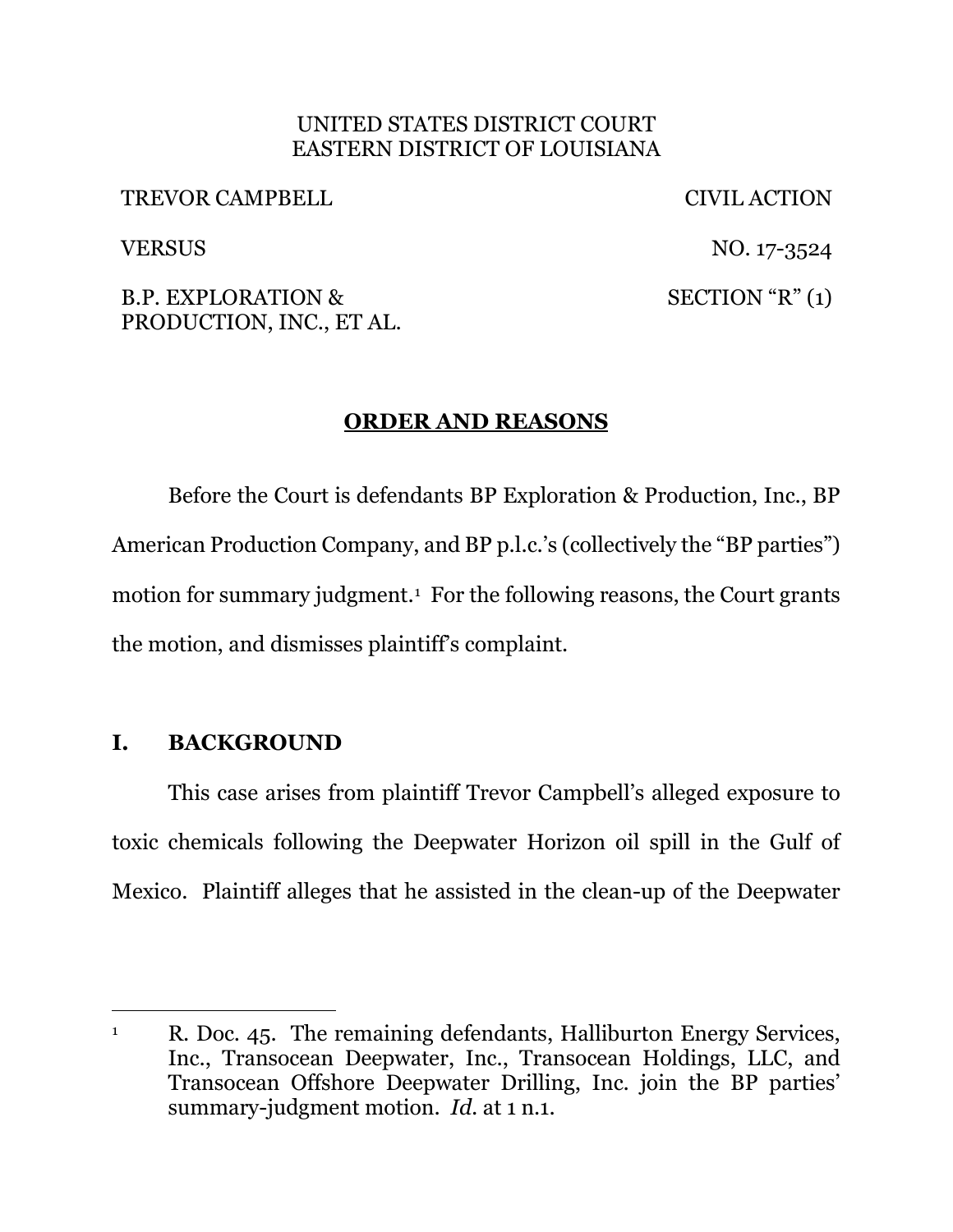### UNITED STATES DISTRICT COURT EASTERN DISTRICT OF LOUISIANA

TREVOR CAMPBELL CIVIL ACTION

VERSUS NO. 17-3524  $SECTION "R" (1)$ 

B.P. EXPLORATION & PRODUCTION, INC., ET AL.

# **ORDER AND REASONS**

Before the Court is defendants BP Exploration & Production, Inc., BP American Production Company, and BP p.l.c.'s (collectively the "BP parties") motion for summary judgment.1 For the following reasons, the Court grants the motion, and dismisses plaintiff's complaint.

## **I. BACKGROUND**

This case arises from plaintiff Trevor Campbell's alleged exposure to toxic chemicals following the Deepwater Horizon oil spill in the Gulf of Mexico. Plaintiff alleges that he assisted in the clean-up of the Deepwater

<sup>&</sup>lt;sup>1</sup> R. Doc. 45. The remaining defendants, Halliburton Energy Services, Inc., Transocean Deepwater, Inc., Transocean Holdings, LLC, and Transocean Offshore Deepwater Drilling, Inc. join the BP parties' summary-judgment motion. *Id.* at 1 n.1.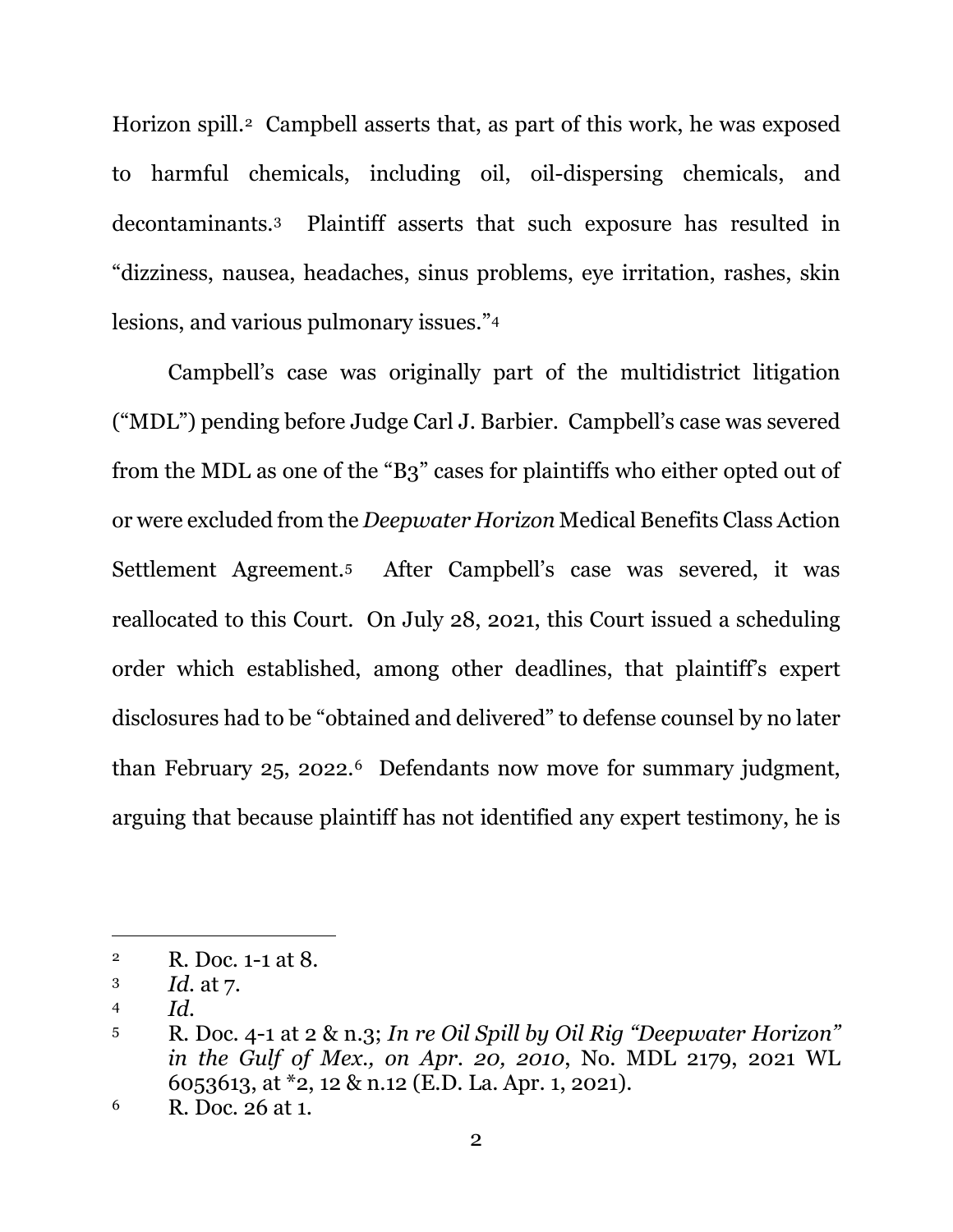Horizon spill.<sup>2</sup> Campbell asserts that, as part of this work, he was exposed to harmful chemicals, including oil, oil-dispersing chemicals, and decontaminants.3 Plaintiff asserts that such exposure has resulted in "dizziness, nausea, headaches, sinus problems, eye irritation, rashes, skin lesions, and various pulmonary issues."4

Campbell's case was originally part of the multidistrict litigation ("MDL") pending before Judge Carl J. Barbier. Campbell's case was severed from the MDL as one of the "B3" cases for plaintiffs who either opted out of or were excluded from the *Deepwater Horizon* Medical Benefits Class Action Settlement Agreement.5 After Campbell's case was severed, it was reallocated to this Court. On July 28, 2021, this Court issued a scheduling order which established, among other deadlines, that plaintiff's expert disclosures had to be "obtained and delivered" to defense counsel by no later than February 25, 2022.6 Defendants now move for summary judgment, arguing that because plaintiff has not identified any expert testimony, he is

<sup>2</sup> R. Doc. 1-1 at 8.

<sup>3</sup> *Id.* at 7.

<sup>4</sup> *Id.* 

<sup>5</sup> R. Doc. 4-1 at 2 & n.3; *In re Oil Spill by Oil Rig "Deepwater Horizon" in the Gulf of Mex., on Apr. 20, 2010*, No. MDL 2179, 2021 WL 6053613, at \*2, 12 & n.12 (E.D. La. Apr. 1, 2021).

<sup>6</sup> R. Doc. 26 at 1.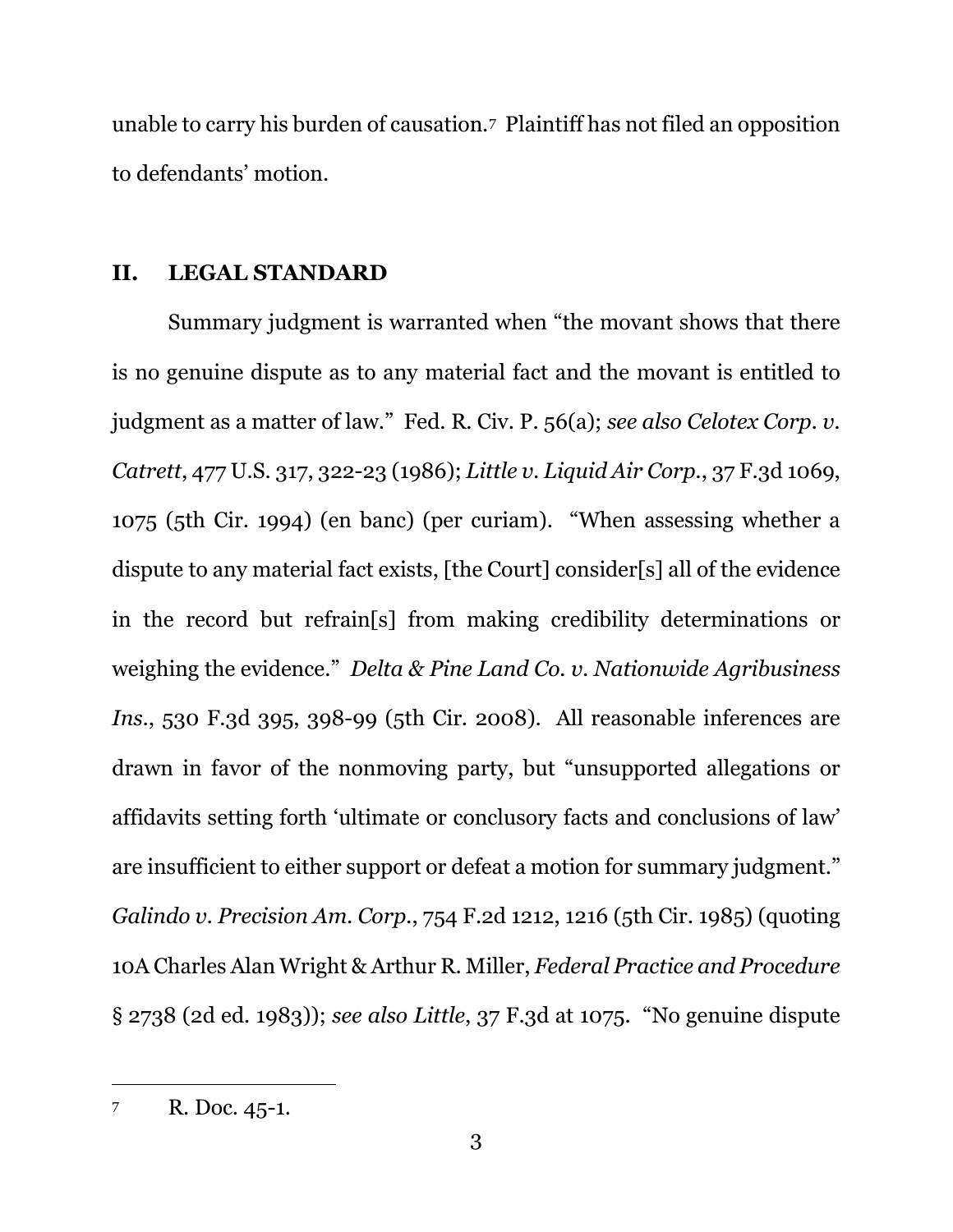unable to carry his burden of causation.7 Plaintiff has not filed an opposition to defendants' motion.

## **II. LEGAL STANDARD**

Summary judgment is warranted when "the movant shows that there is no genuine dispute as to any material fact and the movant is entitled to judgment as a matter of law." Fed. R. Civ. P. 56(a); *see also Celotex Corp. v. Catrett*, 477 U.S. 317, 322-23 (1986); *Little v. Liquid Air Corp.*, 37 F.3d 1069, 1075 (5th Cir. 1994) (en banc) (per curiam). "When assessing whether a dispute to any material fact exists, [the Court] consider[s] all of the evidence in the record but refrain[s] from making credibility determinations or weighing the evidence." *Delta & Pine Land Co. v. Nationwide Agribusiness Ins.*, 530 F.3d 395, 398-99 (5th Cir. 2008). All reasonable inferences are drawn in favor of the nonmoving party, but "unsupported allegations or affidavits setting forth 'ultimate or conclusory facts and conclusions of law' are insufficient to either support or defeat a motion for summary judgment." *Galindo v. Precision Am. Corp.*, 754 F.2d 1212, 1216 (5th Cir. 1985) (quoting 10A Charles Alan Wright & Arthur R. Miller, *Federal Practice and Procedure* § 2738 (2d ed. 1983)); *see also Little*, 37 F.3d at 1075. "No genuine dispute

<sup>7</sup> R. Doc. 45-1.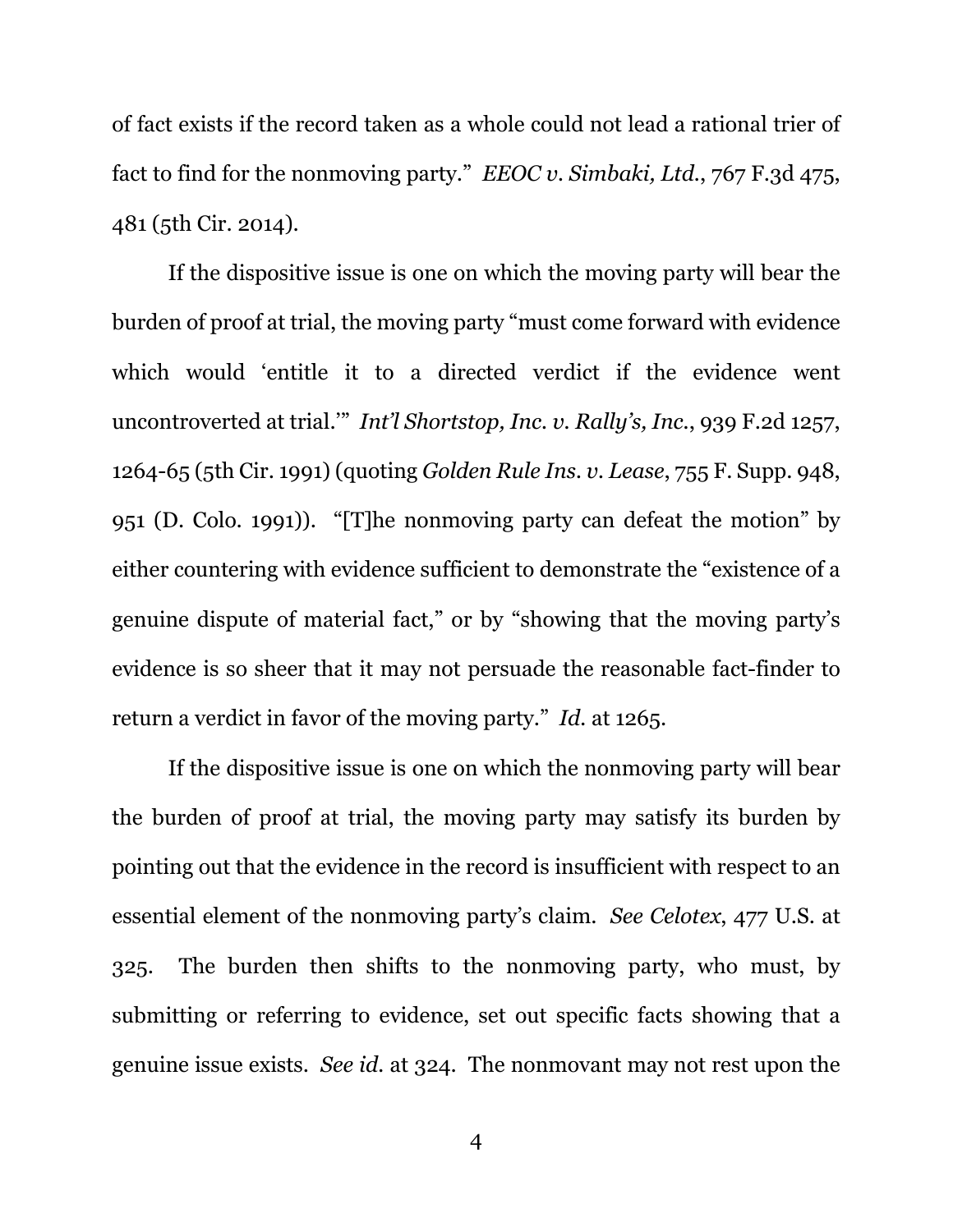of fact exists if the record taken as a whole could not lead a rational trier of fact to find for the nonmoving party." *EEOC v. Simbaki, Ltd.*, 767 F.3d 475, 481 (5th Cir. 2014).

If the dispositive issue is one on which the moving party will bear the burden of proof at trial, the moving party "must come forward with evidence which would 'entitle it to a directed verdict if the evidence went uncontroverted at trial.'" *Int'l Shortstop, Inc. v. Rally's, Inc.*, 939 F.2d 1257, 1264-65 (5th Cir. 1991) (quoting *Golden Rule Ins. v. Lease*, 755 F. Supp. 948, 951 (D. Colo. 1991)). "[T]he nonmoving party can defeat the motion" by either countering with evidence sufficient to demonstrate the "existence of a genuine dispute of material fact," or by "showing that the moving party's evidence is so sheer that it may not persuade the reasonable fact-finder to return a verdict in favor of the moving party." *Id.* at 1265.

If the dispositive issue is one on which the nonmoving party will bear the burden of proof at trial, the moving party may satisfy its burden by pointing out that the evidence in the record is insufficient with respect to an essential element of the nonmoving party's claim. *See Celotex*, 477 U.S. at 325. The burden then shifts to the nonmoving party, who must, by submitting or referring to evidence, set out specific facts showing that a genuine issue exists. *See id.* at 324. The nonmovant may not rest upon the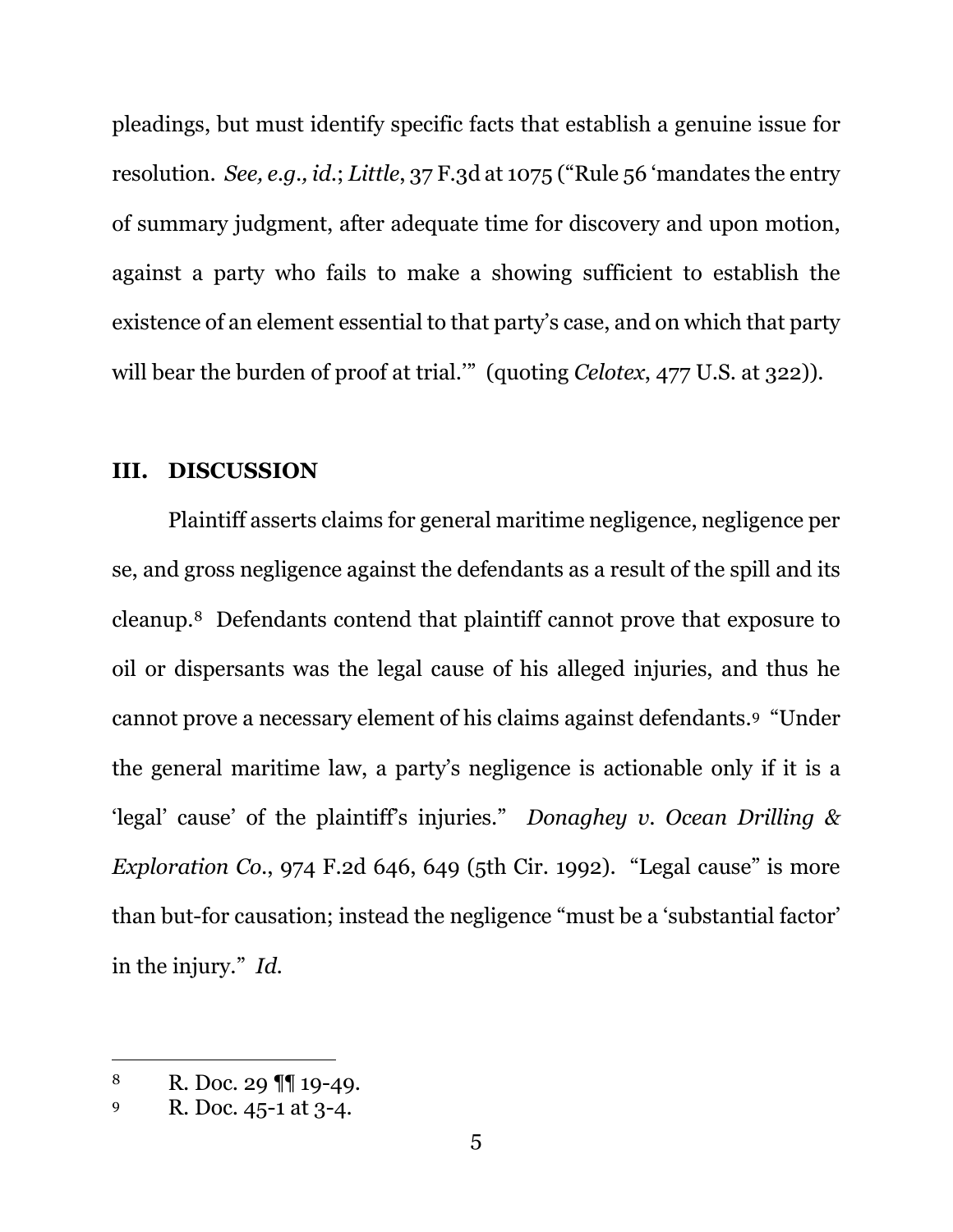pleadings, but must identify specific facts that establish a genuine issue for resolution. *See, e.g., id.*; *Little*, 37 F.3d at 1075 ("Rule 56 'mandates the entry of summary judgment, after adequate time for discovery and upon motion, against a party who fails to make a showing sufficient to establish the existence of an element essential to that party's case, and on which that party will bear the burden of proof at trial." (quoting *Celotex*, 477 U.S. at 322)).

#### **III. DISCUSSION**

Plaintiff asserts claims for general maritime negligence, negligence per se, and gross negligence against the defendants as a result of the spill and its cleanup.8 Defendants contend that plaintiff cannot prove that exposure to oil or dispersants was the legal cause of his alleged injuries, and thus he cannot prove a necessary element of his claims against defendants.9 "Under the general maritime law, a party's negligence is actionable only if it is a 'legal' cause' of the plaintiff's injuries." *Donaghey v. Ocean Drilling & Exploration Co.*, 974 F.2d 646, 649 (5th Cir. 1992). "Legal cause" is more than but-for causation; instead the negligence "must be a 'substantial factor' in the injury." *Id.* 

<sup>8</sup> R. Doc. 29 ¶¶ 19-49.

<sup>9</sup> R. Doc. 45-1 at 3-4.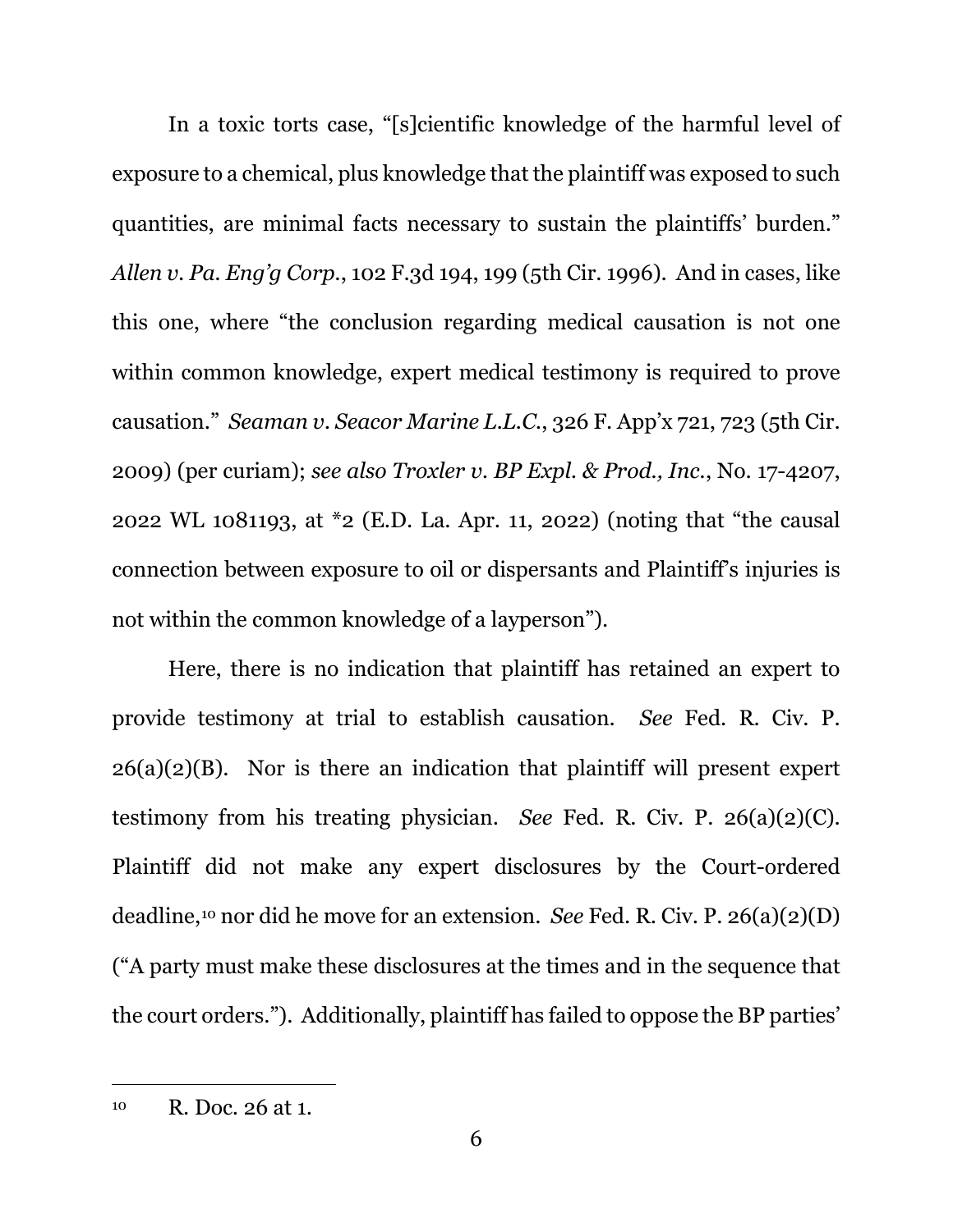In a toxic torts case, "[s]cientific knowledge of the harmful level of exposure to a chemical, plus knowledge that the plaintiff was exposed to such quantities, are minimal facts necessary to sustain the plaintiffs' burden." *Allen v. Pa. Eng'g Corp.*, 102 F.3d 194, 199 (5th Cir. 1996). And in cases, like this one, where "the conclusion regarding medical causation is not one within common knowledge, expert medical testimony is required to prove causation." *Seaman v. Seacor Marine L.L.C.*, 326 F. App'x 721, 723 (5th Cir. 2009) (per curiam); *see also Troxler v. BP Expl. & Prod., Inc.*, No. 17-4207, 2022 WL 1081193, at \*2 (E.D. La. Apr. 11, 2022) (noting that "the causal connection between exposure to oil or dispersants and Plaintiff's injuries is not within the common knowledge of a layperson").

Here, there is no indication that plaintiff has retained an expert to provide testimony at trial to establish causation. *See* Fed. R. Civ. P. 26(a)(2)(B).Nor is there an indication that plaintiff will present expert testimony from his treating physician. *See* Fed. R. Civ. P. 26(a)(2)(C). Plaintiff did not make any expert disclosures by the Court-ordered deadline,10 nor did he move for an extension. *See* Fed. R. Civ. P. 26(a)(2)(D) ("A party must make these disclosures at the times and in the sequence that the court orders."). Additionally, plaintiff has failed to oppose the BP parties'

<sup>10</sup> R. Doc. 26 at 1.